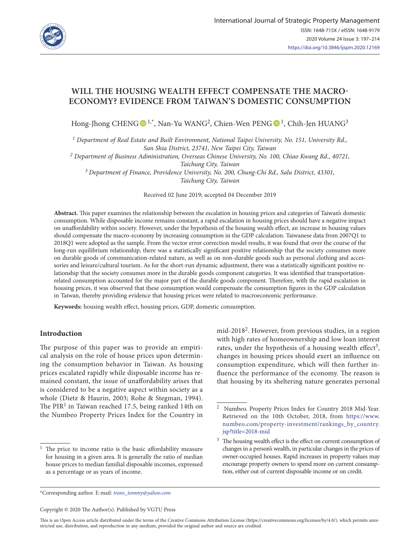

# **WILL THE HOUSING WEALTH EFFECT COMPENSATE THE MACRO-ECONOMY? EVIDENCE FROM TAIWAN'S DOMESTIC CONSUMPTION**

Hong-Jhong CHENG  $\bullet$ <sup>1,\*</sup>, Nan-Yu WANG<sup>2</sup>, Chien-Wen PENG  $\bullet$ <sup>1</sup>, Chih-Jen HUANG<sup>3</sup>

*1 Department of Real Estate and Built Environment, National Taipei University, No. 151, University Rd., San Shia District, 23741, New Taipei City, Taiwan*

*2 Department of Business Administration, Overseas Chinese University, No. 100, Chiao Kwang Rd., 40721,* 

*Taichung City, Taiwan*

*3 Department of Finance, Providence University, No. 200, Chung-Chi Rd., Salu District, 43301, Taichung City, Taiwan*

Received 02 June 2019; accepted 04 December 2019

**Abstract.** This paper examines the relationship between the escalation in housing prices and categories of Taiwan's domestic consumption. While disposable income remains constant, a rapid escalation in housing prices should have a negative impact on unaffordability within society. However, under the hypothesis of the housing wealth effect, an increase in housing values should compensate the macro-economy by increasing consumption in the GDP calculation. Taiwanese data from 2007Q1 to 2018Q1 were adopted as the sample. From the vector error correction model results, it was found that over the course of the long-run equilibrium relationship, there was a statistically significant positive relationship that the society consumes more on durable goods of communication-related nature, as well as on non-durable goods such as personal clothing and accessories and leisure/cultural tourism. As for the short-run dynamic adjustment, there was a statistically significant positive relationship that the society consumes more in the durable goods component categories. It was identified that transportationrelated consumption accounted for the major part of the durable goods component. Therefore, with the rapid escalation in housing prices, it was observed that these consumption would compensate the consumption figures in the GDP calculation in Taiwan, thereby providing evidence that housing prices were related to macroeconomic performance.

**Keywords:** housing wealth effect, housing prices, GDP, domestic consumption.

# **Introduction**

The purpose of this paper was to provide an empirical analysis on the role of house prices upon determining the consumption behavior in Taiwan. As housing prices escalated rapidly while disposable income has remained constant, the issue of unaffordability arises that is considered to be a negative aspect within society as a whole (Dietz & Haurin, 2003; Rohe & Stegman, 1994). The  $PIR<sup>1</sup>$  in Taiwan reached 17.5, being ranked 14th on the Numbeo Property Prices Index for the Country in

mid-20182. However, from previous studies, in a region with high rates of homeownership and low loan interest rates, under the hypothesis of a housing wealth effect<sup>3</sup>, changes in housing prices should exert an influence on consumption expenditure, which will then further influence the performance of the economy. The reason is that housing by its sheltering nature generates personal

\*Corresponding author. E-mail: *[trans\\_tommy@yahoo.com](mailto:trans_tommy@yahoo.com)*

Copyright © 2020 The Author(s). Published by VGTU Press

This is an Open Access article distributed under the terms of the Creative Commons Attribution License [\(https://creativecommons.org/licenses/by/4.0/\)](http://creativecommons.org/licenses/by/4.0/), which permits unrestricted use, distribution, and reproduction in any medium, provided the original author and source are credited.

<sup>&</sup>lt;sup>1</sup> The price to income ratio is the basic affordability measure for housing in a given area. It is generally the ratio of median house prices to median familial disposable incomes, expressed as a percentage or as years of income.

<sup>2</sup> Numbeo. Property Prices Index for Country 2018 Mid-Year. Retrieved on the 10th October, 2018, from https://www. numbeo.com/property-investment/rankings\_by\_country. jsp?title=2018-mid

<sup>&</sup>lt;sup>3</sup> The housing wealth effect is the effect on current consumption of changes in a person's wealth, in particular changes in the prices of owner-occupied houses. Rapid increases in property values may encourage property owners to spend more on current consumption, either out of current disposable income or on credit.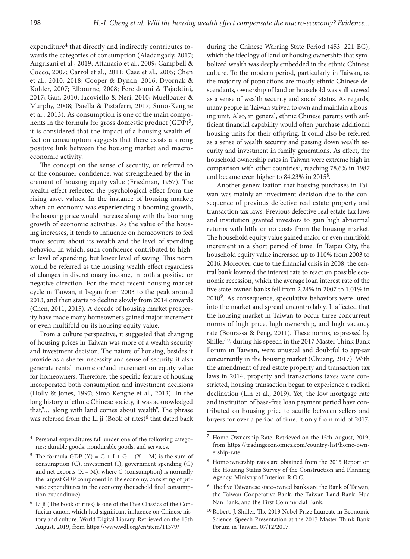expenditure<sup>4</sup> that directly and indirectly contributes towards the categories of consumption (Aladangady, 2017; Angrisani et al., 2019; Attanasio et al., 2009; Campbell & Cocco, 2007; Carrol et al., 2011; Case et al., 2005; Chen et al., 2010, 2018; Cooper & Dynan, 2016; Dvornak & Kohler, 2007; Elbourne, 2008; Fereidouni & Tajaddini, 2017; Gan, 2010; Iacoviello & Neri, 2010; Muellbauer & Murphy, 2008; Paiella & Pistaferri, 2017; Simo-Kengne et al., 2013). As consumption is one of the main components in the formula for gross domestic product  $(GDP)^5$ , it is considered that the impact of a housing wealth effect on consumption suggests that there exists a strong positive link between the housing market and macroeconomic activity.

The concept on the sense of security, or referred to as the consumer confidence, was strengthened by the increment of housing equity value (Friedman, 1957). The wealth effect reflected the psychological effect from the rising asset values. In the instance of housing market; when an economy was experiencing a booming growth, the housing price would increase along with the booming growth of economic activities. As the value of the housing increases, it tends to influence on homeowners to feel more secure about its wealth and the level of spending behavior. In which, such confidence contributed to higher level of spending, but lower level of saving. This norm would be referred as the housing wealth effect regardless of changes in discretionary income, in both a positive or negative direction. For the most recent housing market cycle in Taiwan, it began from 2003 to the peak around 2013, and then starts to decline slowly from 2014 onwards (Chen, 2011, 2015). A decade of housing market prosperity have made many homeowners gained major increment or even multifold on its housing equity value.

From a culture perspective, it suggested that changing of housing prices in Taiwan was more of a wealth security and investment decision. The nature of housing, besides it provide as a shelter necessity and sense of security, it also generate rental income or/and increment on equity value for homeowners. Therefore, the specific feature of housing incorporated both consumption and investment decisions (Holly & Jones, 1997; Simo-Kengne et al., 2013). In the long history of ethnic Chinese society, it was acknowledged that,"... along with land comes about wealth". The phrase was referred from the Li ji (Book of rites) $6$  that dated back

during the Chinese Warring State Period (453−221 BC), which the ideology of land or housing ownership that symbolized wealth was deeply embedded in the ethnic Chinese culture. To the modern period, particularly in Taiwan, as the majority of populations are mostly ethnic Chinese descendants, ownership of land or household was still viewed as a sense of wealth security and social status. As regards, many people in Taiwan strived to own and maintain a housing unit. Also, in general, ethnic Chinese parents with sufficient financial capability would often purchase additional housing units for their offspring. It could also be referred as a sense of wealth security and passing down wealth security and investment in family generations. As effect, the household ownership rates in Taiwan were extreme high in comparison with other countries<sup>7</sup>, reaching 78.6% in 1987 and became even higher to 84.23% in 20158.

Another generalization that housing purchases in Taiwan was mainly an investment decision due to the consequence of previous defective real estate property and transaction tax laws. Previous defective real estate tax laws and institution granted investors to gain high abnormal returns with little or no costs from the housing market. The household equity value gained major or even multifold increment in a short period of time. In Taipei City, the household equity value increased up to 110% from 2003 to 2016. Moreover, due to the financial crisis in 2008, the central bank lowered the interest rate to react on possible economic recession, which the average loan interest rate of the five state-owned banks fell from 2.24% in 2007 to 1.01% in 20109. As consequence, speculative behaviors were lured into the market and spread uncontrollably. It affected that the housing market in Taiwan to occur three concurrent norms of high price, high ownership, and high vacancy rate (Bourassa & Peng, 2011). These norms, expressed by Shiller<sup>10</sup>, during his speech in the 2017 Master Think Bank Forum in Taiwan, were unusual and doubtful to appear concurrently in the housing market (Chuang, 2017). With the amendment of real estate property and transaction tax laws in 2014, property and transactions taxes were constricted, housing transaction began to experience a radical declination (Lin et al., 2019). Yet, the low mortgage rate and institution of base-free loan payment period have contributed on housing price to scuffle between sellers and buyers for over a period of time. It only from mid of 2017,

<sup>4</sup> Personal expenditures fall under one of the following categories: durable goods, nondurable goods, and services.

<sup>&</sup>lt;sup>5</sup> The formula GDP (Y) = C + I + G + (X – M) is the sum of consumption (C), investment (I), government spending (G) and net exports  $(X - M)$ , where C (consumption) is normally the largest GDP component in the economy, consisting of private expenditures in the economy (household final consumption expenditure).

 $6$  Li ji (The book of rites) is one of the Five Classics of the Confucian canon, which had significant influence on Chinese history and culture. World Digital Library. Retrieved on the 15th August, 2019, from https://www.wdl.org/en/item/11379/

Home Ownership Rate. Retrieved on the 15th August, 2019, from https://tradingeconomics.com/country-list/home-ownership-rate

<sup>8</sup> Homeownership rates are obtained from the 2015 Report on the Housing Status Survey of the Construction and Planning Agency, Ministry of Interior, R.O.C.

The five Taiwanese state-owned banks are the Bank of Taiwan, the Taiwan Cooperative Bank, the Taiwan Land Bank, Hua Nan Bank, and the First Commercial Bank.

<sup>10</sup> Robert. J. Shiller. The 2013 Nobel Prize Laureate in Economic Science. Speech Presentation at the 2017 Master Think Bank Forum in Taiwan. 07/12/2017.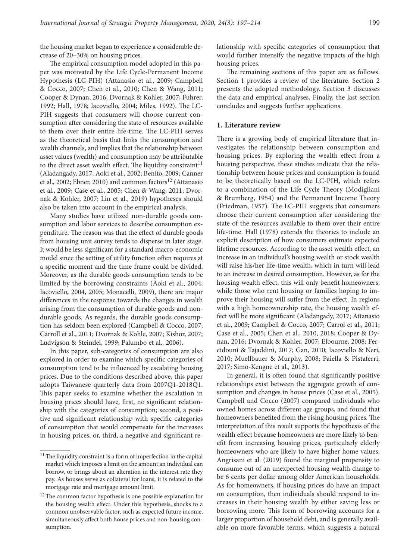the housing market began to experience a considerable decrease of 20–30% on housing prices.

The empirical consumption model adopted in this paper was motivated by the Life Cycle-Permanent Income Hypothesis (LC-PIH) (Attanasio et al., 2009; Campbell & Cocco, 2007; Chen et al., 2010; Chen & Wang, 2011; Cooper & Dynan, 2016; Dvornak & Kohler, 2007; Fuhrer, 1992; Hall, 1978; Iacoviello, 2004; Miles, 1992). The LC-PIH suggests that consumers will choose current consumption after considering the state of resources available to them over their entire life-time. The LC-PIH serves as the theoretical basis that links the consumption and wealth channels, and implies that the relationship between asset values (wealth) and consumption may be attributable to the direct asset wealth effect. The liquidity constraint $11$ (Aladangady, 2017; Aoki et al., 2002; Benito, 2009; Canner et al., 2002; Ebner, 2010) and common factors<sup>12</sup> (Attanasio et al., 2009; Case et al., 2005; Chen & Wang, 2011; Dvornak & Kohler, 2007; Lin et al., 2019) hypotheses should also be taken into account in the empirical analysis.

Many studies have utilized non-durable goods consumption and labor services to describe consumption expenditure. The reason was that the effect of durable goods from housing unit survey tends to disperse in later stage. It would be less significant for a standard macro-economic model since the setting of utility function often requires at a specific moment and the time frame could be divided. Moreover, as the durable goods consumption tends to be limited by the borrowing constraints (Aoki et al., 2004; Iacoviello, 2004, 2005; Monacelli, 2009), there are major differences in the response towards the changes in wealth arising from the consumption of durable goods and nondurable goods. As regards, the durable goods consumption has seldom been explored (Campbell & Cocco, 2007; Carroll et al., 2011; Dvornak & Kohle, 2007; Kishor, 2007; Ludvigson & Steindel, 1999; Palumbo et al., 2006).

In this paper, sub-categories of consumption are also explored in order to examine which specific categories of consumption tend to be influenced by escalating housing prices. Due to the conditions described above, this paper adopts Taiwanese quarterly data from 2007Q1-2018Q1. This paper seeks to examine whether the escalation in housing prices should have, first, no significant relationship with the categories of consumption; second, a positive and significant relationship with specific categories of consumption that would compensate for the increases in housing prices; or, third, a negative and significant relationship with specific categories of consumption that would further intensify the negative impacts of the high housing prices.

The remaining sections of this paper are as follows. Section 1 provides a review of the literature. Section 2 presents the adopted methodology. Section 3 discusses the data and empirical analyses. Finally, the last section concludes and suggests further applications.

### **1. Literature review**

There is a growing body of empirical literature that investigates the relationship between consumption and housing prices. By exploring the wealth effect from a housing perspective, these studies indicate that the relationship between house prices and consumption is found to be theoretically based on the LC-PIH, which refers to a combination of the Life Cycle Theory (Modigliani & Brumberg, 1954) and the Permanent Income Theory (Friedman, 1957). The LC-PIH suggests that consumers choose their current consumption after considering the state of the resources available to them over their entire life-time. Hall (1978) extends the theories to include an explicit description of how consumers estimate expected lifetime resources. According to the asset wealth effect, an increase in an individual's housing wealth or stock wealth will raise his/her life-time wealth, which in turn will lead to an increase in desired consumption. However, as for the housing wealth effect, this will only benefit homeowners, while those who rent housing or families hoping to improve their housing will suffer from the effect. In regions with a high homeownership rate, the housing wealth effect will be more significant (Aladangady, 2017; Attanasio et al., 2009; Campbell & Cocco, 2007; Carrol et al., 2011; Case et al., 2005; Chen et al., 2010, 2018; Cooper & Dynan, 2016; Dvornak & Kohler, 2007; Elbourne, 2008; Fereidouni & Tajaddini, 2017; Gan, 2010; Iacoviello & Neri, 2010; Muellbauer & Murphy, 2008; Paiella & Pistaferri, 2017; Simo-Kengne et al., 2013).

In general, it is often found that significantly positive relationships exist between the aggregate growth of consumption and changes in house prices (Case et al., 2005). Campbell and Cocco (2007) compared individuals who owned homes across different age groups, and found that homeowners benefited from the rising housing prices. The interpretation of this result supports the hypothesis of the wealth effect because homeowners are more likely to benefit from increasing housing prices, particularly elderly homeowners who are likely to have higher home values. Angrisani et al. (2019) found the marginal propensity to consume out of an unexpected housing wealth change to be 6 cents per dollar among older American households. As for homeowners, if housing prices do have an impact on consumption, then individuals should respond to increases in their housing wealth by either saving less or borrowing more. This form of borrowing accounts for a larger proportion of household debt, and is generally available on more favorable terms, which suggests a natural

<sup>&</sup>lt;sup>11</sup> The liquidity constraint is a form of imperfection in the capital market which imposes a limit on the amount an individual can borrow, or brings about an alteration in the interest rate they pay. As houses serve as collateral for loans, it is related to the mortgage rate and mortgage amount limit.

 $^{12}\!$  The common factor hypothesis is one possible explanation for the housing wealth effect. Under this hypothesis, shocks to a common unobservable factor, such as expected future income, simultaneously affect both house prices and non-housing consumption.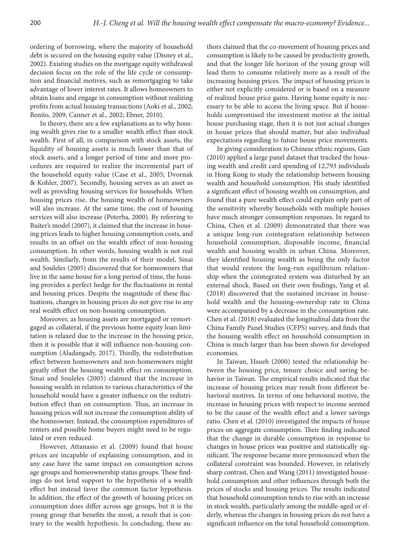ordering of borrowing, where the majority of household debt is secured on the housing equity value (Disney et al., 2002). Existing studies on the mortgage equity withdrawal decision focus on the role of the life cycle or consumption and financial motives, such as remortgaging to take advantage of lower interest rates. It allows homeowners to obtain loans and engage in consumption without realizing profits from actual housing transactions (Aoki et al., 2002; Benito, 2009; Canner et al., 2002; Ebner, 2010).

In theory, there are a few explanations as to why housing wealth gives rise to a smaller wealth effect than stock wealth. First of all, in comparison with stock assets, the liquidity of housing assets is much lower than that of stock assets, and a longer period of time and more procedures are required to realize the incremental part of the household equity value (Case et al., 2005; Dvornak & Kohler, 2007). Secondly, housing serves as an asset as well as providing housing services for households. When housing prices rise, the housing wealth of homeowners will also increase. At the same time, the cost of housing services will also increase (Poterba, 2000). By referring to Buiter's model (2007), it claimed that the increase in housing prices leads to higher housing consumption costs, and results in an offset on the wealth effect of non-housing consumption. In other words, housing wealth is not real wealth. Similarly, from the results of their model, Sinai and Souleles (2005) discovered that for homeowners that live in the same house for a long period of time, the housing provides a perfect hedge for the fluctuations in rental and housing prices. Despite the magnitude of these fluctuations, changes in housing prices do not give rise to any real wealth effect on non-housing consumption.

Moreover, as housing assets are mortgaged or remortgaged as collateral, if the previous home equity loan limitation is relaxed due to the increase in the housing price, then it is possible that it will influence non-housing consumption (Aladangady, 2017). Thirdly, the redistribution effect between homeowners and non-homeowners might greatly offset the housing wealth effect on consumption. Sinai and Souleles (2005) claimed that the increase in housing wealth in relation to various characteristics of the household would have a greater influence on the redistribution effect than on consumption. Thus, an increase in housing prices will not increase the consumption ability of the homeowner. Instead, the consumption expenditures of renters and possible home buyers might need to be regulated or even reduced.

However, Attanasio et al. (2009) found that house prices are incapable of explaining consumption, and in any case have the same impact on consumption across age groups and homeownership status groups. These findings do not lend support to the hypothesis of a wealth effect but instead favor the common factor hypothesis. In addition, the effect of the growth of housing prices on consumption does differ across age groups, but it is the young group that benefits the most, a result that is contrary to the wealth hypothesis. In concluding, these authors claimed that the co-movement of housing prices and consumption is likely to be caused by productivity growth, and that the longer life horizon of the young group will lead them to consume relatively more as a result of the increasing housing prices. The impact of housing prices is either not explicitly considered or is based on a measure of realized house price gains. Having home equity is necessary to be able to access the living space. But if households compromised the investment motive at the initial house purchasing stage, then it is not just actual changes in house prices that should matter, but also individual expectations regarding to future house price movements.

In giving consideration to Chinese ethnic regions, Gan (2010) applied a large panel dataset that tracked the housing wealth and credit card spending of 12,793 individuals in Hong Kong to study the relationship between housing wealth and household consumption. His study identified a significant effect of housing wealth on consumption, and found that a pure wealth effect could explain only part of the sensitivity whereby households with multiple houses have much stronger consumption responses. In regard to China, Chen et al. (2009) demonstrated that there was a unique long-run cointegration relationship between household consumption, disposable income, financial wealth and housing wealth in urban China. Moreover, they identified housing wealth as being the only factor that would restore the long‐run equilibrium relationship when the cointegrated system was disturbed by an external shock. Based on their own findings, Yang et al. (2018) discovered that the sustained increase in household wealth and the housing-ownership rate in China were accompanied by a decrease in the consumption rate. Chen et al. (2018) evaluated the longitudinal data from the China Family Panel Studies (CFPS) survey, and finds that the housing wealth effect on household consumption in China is much larger than has been shown for developed economies.

In Taiwan, Hsueh (2000) tested the relationship between the housing price, tenure choice and saving behavior in Taiwan. The empirical results indicated that the increase of housing prices may result from different behavioral motives. In terms of one behavioral motive, the increase in housing prices with respect to income seemed to be the cause of the wealth effect and a lower savings ratio. Chen et al. (2010) investigated the impacts of house prices on aggregate consumption. Their finding indicated that the change in durable consumption in response to changes in house prices was positive and statistically significant. The response became more pronounced when the collateral constraint was bounded. However, in relatively sharp contrast, Chen and Wang (2011) investigated household consumption and other influences through both the prices of stocks and housing prices. The results indicated that household consumption tends to rise with an increase in stock wealth, particularly among the middle-aged or elderly, whereas the changes in housing prices do not have a significant influence on the total household consumption.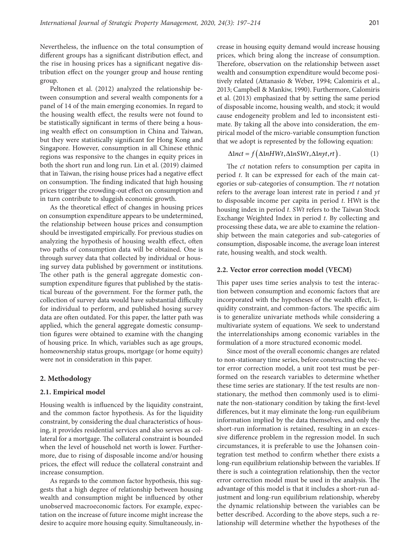Nevertheless, the influence on the total consumption of different groups has a significant distribution effect, and the rise in housing prices has a significant negative distribution effect on the younger group and house renting group.

Peltonen et al. (2012) analyzed the relationship between consumption and several wealth components for a panel of 14 of the main emerging economies. In regard to the housing wealth effect, the results were not found to be statistically significant in terms of there being a housing wealth effect on consumption in China and Taiwan, but they were statistically significant for Hong Kong and Singapore. However, consumption in all Chinese ethnic regions was responsive to the changes in equity prices in both the short run and long run. Lin et al. (2019) claimed that in Taiwan, the rising house prices had a negative effect on consumption. The finding indicated that high housing prices trigger the crowding-out effect on consumption and in turn contribute to sluggish economic growth.

As the theoretical effect of changes in housing prices on consumption expenditure appears to be undetermined, the relationship between house prices and consumption should be investigated empirically. For previous studies on analyzing the hypothesis of housing wealth effect, often two paths of consumption data will be obtained. One is through survey data that collected by individual or housing survey data published by government or institutions. The other path is the general aggregate domestic consumption expenditure figures that published by the statistical bureau of the government. For the former path, the collection of survey data would have substantial difficulty for individual to perform, and published hosing survey data are often outdated. For this paper, the latter path was applied, which the general aggregate domestic consumption figures were obtained to examine with the changing of housing price. In which, variables such as age groups, homeownership status groups, mortgage (or home equity) were not in consideration in this paper.

# **2. Methodology**

### **2.1. Empirical model**

Housing wealth is influenced by the liquidity constraint, and the common factor hypothesis. As for the liquidity constraint, by considering the dual characteristics of housing, it provides residential services and also serves as collateral for a mortgage. The collateral constraint is bounded when the level of household net worth is lower. Furthermore, due to rising of disposable income and/or housing prices, the effect will reduce the collateral constraint and increase consumption.

As regards to the common factor hypothesis, this suggests that a high degree of relationship between housing wealth and consumption might be influenced by other unobserved macroeconomic factors. For example, expectation on the increase of future income might increase the desire to acquire more housing equity. Simultaneously, increase in housing equity demand would increase housing prices, which bring along the increase of consumption. Therefore, observation on the relationship between asset wealth and consumption expenditure would become positively related (Attanasio & Weber, 1994; Calomiris et al., 2013; Campbell & Mankiw, 1990). Furthermore, Calomiris et al. (2013) emphasized that by setting the same period of disposable income, housing wealth, and stock; it would cause endogeneity problem and led to inconsistent estimate. By taking all the above into consideration, the empirical model of the micro-variable consumption function that we adopt is represented by the following equation:

$$
\Delta \text{lnct} = f(\Delta \text{lnHW}t, \Delta \text{lnSW}t, \Delta \text{lnyt}, rt). \tag{1}
$$

The *ct* notation refers to consumption per capita in period *t*. It can be expressed for each of the main categories or sub-categories of consumption. The *rt* notation refers to the average loan interest rate in period *t* and *yt* to disposable income per capita in period *t*. HWt is the housing index in period *t*. *SWt* refers to the Taiwan Stock Exchange Weighted Index in period *t*. By collecting and processing these data, we are able to examine the relationship between the main categories and sub-categories of consumption, disposable income, the average loan interest rate, housing wealth, and stock wealth.

### **2.2. Vector error correction model (VECM)**

This paper uses time series analysis to test the interaction between consumption and economic factors that are incorporated with the hypotheses of the wealth effect, liquidity constraint, and common-factors. The specific aim is to generalize univariate methods while considering a multivariate system of equations. We seek to understand the interrelationships among economic variables in the formulation of a more structured economic model.

Since most of the overall economic changes are related to non-stationary time series, before constructing the vector error correction model, a unit root test must be performed on the research variables to determine whether these time series are stationary. If the test results are nonstationary, the method then commonly used is to eliminate the non-stationary condition by taking the first-level differences, but it may eliminate the long-run equilibrium information implied by the data themselves, and only the short-run information is retained, resulting in an excessive difference problem in the regression model. In such circumstances, it is preferable to use the Johansen cointegration test method to confirm whether there exists a long-run equilibrium relationship between the variables. If there is such a cointegration relationship, then the vector error correction model must be used in the analysis. The advantage of this model is that it includes a short-run adjustment and long-run equilibrium relationship, whereby the dynamic relationship between the variables can be better described. According to the above steps, such a relationship will determine whether the hypotheses of the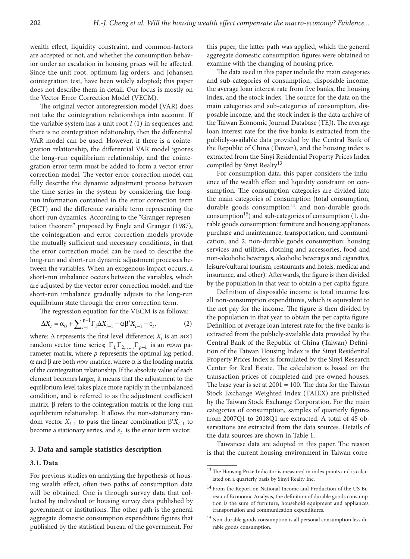wealth effect, liquidity constraint, and common-factors are accepted or not, and whether the consumption behavior under an escalation in housing prices will be affected. Since the unit root, optimum lag orders, and Johansen cointegration test, have been widely adopted; this paper does not describe them in detail. Our focus is mostly on the Vector Error Correction Model (VECM).

The original vector autoregression model (VAR) does not take the cointegration relationships into account. If the variable system has a unit root  $I(1)$  in sequences and there is no cointegration relationship, then the differential VAR model can be used. However, if there is a cointegration relationship, the differential VAR model ignores the long-run equilibrium relationship, and the cointegration error term must be added to form a vector error correction model. The vector error correction model can fully describe the dynamic adjustment process between the time series in the system by considering the longrun information contained in the error correction term (ECT) and the difference variable term representing the short-run dynamics. According to the "Granger representation theorem" proposed by Engle and Granger (1987), the cointegration and error correction models provide the mutually sufficient and necessary conditions, in that the error correction model can be used to describe the long-run and short-run dynamic adjustment processes between the variables. When an exogenous impact occurs, a short-run imbalance occurs between the variables, which are adjusted by the vector error correction model, and the short-run imbalance gradually adjusts to the long-run equilibrium state through the error correction term.

The regression equation for the VECM is as follows:

$$
\Delta X_t = \alpha_0 + \sum_{i=1}^{p-1} \Gamma_i \Delta X_{i-1} + \alpha \beta' X_{t-1} + \varepsilon_t,
$$
\n(2)

where:  $\Delta$  represents the first level difference;  $X_t$  is an  $m \times 1$ random vector time series;  $\Gamma_1, \Gamma_2, \dots, \Gamma_{p-1}$  is an  $m \times m$  parameter matrix, where *p* represents the optimal lag period; α and β are both *m*×*r* matrice, where α is the loading matrix of the cointegration relationship. If the absolute value of each element becomes larger, it means that the adjustment to the equilibrium level takes place more rapidly in the unbalanced condition, and is referred to as the adjustment coefficient matrix. β refers to the cointegration matrix of the long-run equilibrium relationship. It allows the non-stationary random vector  $X_{t-1}$  to pass the linear combination  $β'X_{t-1}$  to become a stationary series, and  $\varepsilon_t$  is the error term vector.

### **3. Data and sample statistics description**

#### **3.1. Data**

For previous studies on analyzing the hypothesis of housing wealth effect, often two paths of consumption data will be obtained. One is through survey data that collected by individual or housing survey data published by government or institutions. The other path is the general aggregate domestic consumption expenditure figures that published by the statistical bureau of the government. For

this paper, the latter path was applied, which the general aggregate domestic consumption figures were obtained to examine with the changing of housing price.

The data used in this paper include the main categories and sub-categories of consumption, disposable income, the average loan interest rate from five banks, the housing index, and the stock index. The source for the data on the main categories and sub-categories of consumption, disposable income, and the stock index is the data archive of the Taiwan Economic Journal Database (TEJ). The average loan interest rate for the five banks is extracted from the publicly-available data provided by the Central Bank of the Republic of China (Taiwan), and the housing index is extracted from the Sinyi Residential Property Prices Index compiled by Sinyi Realty<sup>13</sup>.

For consumption data, this paper considers the influence of the wealth effect and liquidity constraint on consumption. The consumption categories are divided into the main categories of consumption (total consumption, durable goods consumption<sup>14</sup>, and non-durable goods consumption<sup>15</sup>) and sub-categories of consumption  $(1. du$ rable goods consumption: furniture and housing appliances purchase and maintenance, transportation, and communication; and 2. non-durable goods consumption: housing services and utilities, clothing and accessories, food and non-alcoholic beverages, alcoholic beverages and cigarettes, leisure/cultural tourism, restaurants and hotels, medical and insurance, and other). Afterwards, the figure is then divided by the population in that year to obtain a per capita figure.

Definition of disposable income is total income less all non-consumption expenditures, which is equivalent to the net pay for the income. The figure is then divided by the population in that year to obtain the per capita figure. Definition of average loan interest rate for the five banks is extracted from the publicly-available data provided by the Central Bank of the Republic of China (Taiwan) Definition of the Taiwan Housing Index is the Sinyi Residential Property Prices Index is formulated by the Sinyi Research Center for Real Estate. The calculation is based on the transaction prices of completed and pre-owned houses. The base year is set at  $2001 = 100$ . The data for the Taiwan Stock Exchange Weighted Index (TAIEX) are published by the Taiwan Stock Exchange Corporation. For the main categories of consumption, samples of quarterly figures from 2007Q1 to 2018Q1 are extracted. A total of 45 observations are extracted from the data sources. Details of the data sources are shown in Table 1.

Taiwanese data are adopted in this paper. The reason is that the current housing environment in Taiwan corre-

<sup>&</sup>lt;sup>13</sup> The Housing Price Indicator is measured in index points and is calculated on a quarterly basis by Sinyi Realty Inc.

<sup>14</sup> From the Report on National Income and Production of the US Bureau of Economic Analysis, the definition of durable goods consumption is the sum of furniture, household equipment and appliances, transportation and communication expenditures.

<sup>15</sup> Non-durable goods consumption is all personal consumption less durable goods consumption.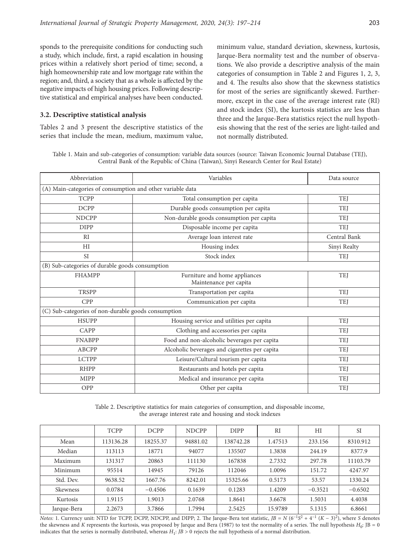sponds to the prerequisite conditions for conducting such a study, which include, first, a rapid escalation in housing prices within a relatively short period of time; second, a high homeownership rate and low mortgage rate within the region; and, third, a society that as a whole is affected by the negative impacts of high housing prices. Following descrip-

series that include the mean, medium, maximum value,

minimum value, standard deviation, skewness, kurtosis, Jarque-Bera normality test and the number of observations. We also provide a descriptive analysis of the main categories of consumption in Table 2 and Figures 1, 2, 3, and 4. The results also show that the skewness statistics for most of the series are significantly skewed. Furthermore, except in the case of the average interest rate (RI) and stock index (SI), the kurtosis statistics are less than three and the Jarque-Bera statistics reject the null hypothesis showing that the rest of the series are light-tailed and not normally distributed.

tive statistical and empirical analyses have been conducted. **3.2. Descriptive statistical analysis** Tables 2 and 3 present the descriptive statistics of the

Table 1. Main and sub-categories of consumption: variable data sources (source: Taiwan Economic Journal Database (TEJ), Central Bank of the Republic of China (Taiwan), Sinyi Research Center for Real Estate)

| Abbreviation                                        | Variables                                                  | Data source  |  |  |  |  |  |  |  |
|-----------------------------------------------------|------------------------------------------------------------|--------------|--|--|--|--|--|--|--|
|                                                     | (A) Main-categories of consumption and other variable data |              |  |  |  |  |  |  |  |
| <b>TCPP</b>                                         | <b>TEJ</b>                                                 |              |  |  |  |  |  |  |  |
| <b>DCPP</b>                                         | Durable goods consumption per capita                       | <b>TEI</b>   |  |  |  |  |  |  |  |
| <b>NDCPP</b>                                        | Non-durable goods consumption per capita                   | <b>TEJ</b>   |  |  |  |  |  |  |  |
| <b>DIPP</b>                                         | Disposable income per capita                               | <b>TEJ</b>   |  |  |  |  |  |  |  |
| RI                                                  | Average loan interest rate                                 | Central Bank |  |  |  |  |  |  |  |
| HI                                                  | Housing index                                              | Sinyi Realty |  |  |  |  |  |  |  |
| <b>SI</b>                                           | Stock index                                                | TEJ          |  |  |  |  |  |  |  |
| (B) Sub-categories of durable goods consumption     |                                                            |              |  |  |  |  |  |  |  |
| <b>FHAMPP</b>                                       | Furniture and home appliances<br>Maintenance per capita    | <b>TEJ</b>   |  |  |  |  |  |  |  |
| <b>TRSPP</b>                                        | Transportation per capita                                  | <b>TEJ</b>   |  |  |  |  |  |  |  |
| <b>CPP</b>                                          | Communication per capita                                   | <b>TEJ</b>   |  |  |  |  |  |  |  |
| (C) Sub-categories of non-durable goods consumption |                                                            |              |  |  |  |  |  |  |  |
| <b>HSUPP</b>                                        | Housing service and utilities per capita                   | TEJ          |  |  |  |  |  |  |  |
| CAPP                                                | Clothing and accessories per capita                        | <b>TEJ</b>   |  |  |  |  |  |  |  |
| <b>FNABPP</b>                                       | Food and non-alcoholic beverages per capita                | <b>TEJ</b>   |  |  |  |  |  |  |  |
| <b>ABCPP</b>                                        | Alcoholic beverages and cigarettes per capita              | <b>TEJ</b>   |  |  |  |  |  |  |  |
| <b>LCTPP</b>                                        | Leisure/Cultural tourism per capita                        | <b>TEJ</b>   |  |  |  |  |  |  |  |
| <b>RHPP</b>                                         | Restaurants and hotels per capita                          | <b>TEJ</b>   |  |  |  |  |  |  |  |
| <b>MIPP</b>                                         | Medical and insurance per capita                           | TEJ          |  |  |  |  |  |  |  |
| OPP                                                 | Other per capita                                           | TEJ          |  |  |  |  |  |  |  |

Table 2. Descriptive statistics for main categories of consumption, and disposable income, the average interest rate and housing and stock indexes

|             | <b>TCPP</b> | <b>DCPP</b> | <b>NDCPP</b> | <b>DIPP</b> | RI      | HI        | <b>SI</b> |
|-------------|-------------|-------------|--------------|-------------|---------|-----------|-----------|
| Mean        | 113136.28   | 18255.37    | 94881.02     | 138742.28   | 1.47513 | 233.156   | 8310.912  |
| Median      | 113113      | 18771       | 94077        | 135507      | 1.3838  | 244.19    | 8377.9    |
| Maximum     | 131317      | 20863       | 111130       | 167838      | 2.7332  | 297.78    | 11103.79  |
| Minimum     | 95514       | 14945       | 79126        | 112046      | 1.0096  | 151.72    | 4247.97   |
| Std. Dev.   | 9638.52     | 1667.76     | 8242.01      | 15325.66    | 0.5173  | 53.57     | 1330.24   |
| Skewness    | 0.0784      | $-0.4506$   | 0.1639       | 0.1283      | 1.4209  | $-0.3521$ | $-0.6502$ |
| Kurtosis    | 1.9115      | 1.9013      | 2.0768       | 1.8641      | 3.6678  | 1.5031    | 4.4038    |
| Jarque-Bera | 2.2673      | 3.7866      | 1.7994       | 2.5425      | 15.9789 | 5.1315    | 6.8661    |

*Notes:* 1. Currency unit: NTD for TCPP, DCPP, NDCPP, and DIPP; 2. The Jarque-Bera test statistic,  $JB = N (6^{-1}S^2 + 4^{-1} (K - 3)^2)$ , where *S* denotes the skewness and *K* represents the kurtosis, was proposed by Jarque and Bera (1987) to test the normality of a series. The null hypothesis  $H_0$ : JB = 0 indicates that the series is normally distributed, whereas *H*1: *JB* > 0 rejects the null hypothesis of a normal distribution.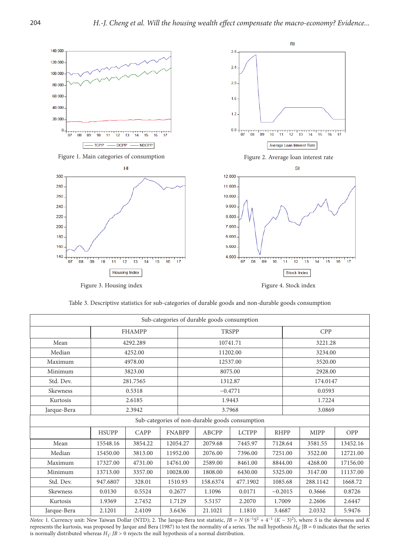

Table 3. Descriptive statistics for sub-categories of durable goods and non-durable goods consumption

| Sub-categories of durable goods consumption |               |          |  |               |              |                                                 |             |            |          |          |
|---------------------------------------------|---------------|----------|--|---------------|--------------|-------------------------------------------------|-------------|------------|----------|----------|
|                                             | <b>FHAMPP</b> |          |  |               | <b>TRSPP</b> |                                                 |             | <b>CPP</b> |          |          |
| Mean                                        |               | 4292.289 |  |               |              | 10741.71                                        |             |            | 3221.28  |          |
| Median                                      |               | 4252.00  |  |               |              | 11202.00                                        |             |            | 3234.00  |          |
| Maximum                                     |               | 4978.00  |  |               |              | 12537.00                                        |             |            | 3520.00  |          |
| Minimum                                     |               | 3823.00  |  |               |              | 8075.00                                         |             |            | 2928.00  |          |
| Std. Dev.                                   |               | 281.7565 |  |               |              | 1312.87                                         |             |            | 174.0147 |          |
| Skewness                                    |               | 0.5318   |  |               |              | $-0.4771$                                       |             |            | 0.0593   |          |
| Kurtosis                                    |               | 2.6185   |  |               |              | 1.9443                                          |             | 1.7224     |          |          |
| Jarque-Bera                                 |               | 2.3942   |  |               |              | 3.7968                                          |             |            | 3.0869   |          |
|                                             |               |          |  |               |              | Sub-categories of non-durable goods consumption |             |            |          |          |
|                                             | <b>HSUPP</b>  | CAPP     |  | <b>FNABPP</b> | <b>ABCPP</b> | <b>LCTPP</b>                                    | <b>RHPP</b> |            | MIPP     | OPP      |
| Mean                                        | 15548.16      | 3854.22  |  | 12054.27      | 2079.68      | 7445.97                                         | 7128.64     |            | 3581.55  | 13452.16 |
| Median                                      | 15450.00      | 3813.00  |  | 11952.00      | 2076.00      | 7396.00                                         | 7251.00     |            | 3522.00  | 12721.00 |
| Maximum                                     | 17327.00      | 4731.00  |  | 14761.00      | 2589.00      | 8461.00                                         | 8844.00     |            | 4268.00  | 17156.00 |
| Minimum                                     | 13713.00      | 3357.00  |  | 10028.00      | 1808.00      | 6430.00                                         | 5325.00     |            | 3147.00  | 11137.00 |
| Std. Dev.                                   | 947.6807      | 328.01   |  | 1510.93       | 158.6374     | 477.1902                                        | 1085.68     |            | 288.1142 | 1668.72  |
| Skewness                                    | 0.0130        | 0.5524   |  | 0.2677        | 1.1096       | 0.0171                                          | $-0.2015$   |            | 0.3666   | 0.8726   |
| Kurtosis                                    | 1.9369        | 2.7452   |  | 1.7129        | 5.5157       | 2.2070                                          | 1.7009      |            | 2.2606   | 2.6447   |
| Jarque-Bera                                 | 2.1201        | 2.4109   |  | 3.6436        | 21.1021      | 1.1810                                          | 3.4687      |            | 2.0332   | 5.9476   |

*Notes:* 1. Currency unit: New Taiwan Dollar (NTD); 2. The Jarque-Bera test statistic,  $JB = N (6^{-1}S^2 + 4^{-1} (K - 3)^2)$ , where *S* is the skewness and *K* represents the kurtosis, was proposed by Jarque and Bera (1987) to test the normality of a series. The null hypothesis  $H_0$ : JB = 0 indicates that the series is normally distributed whereas *H*1: *JB* > 0 rejects the null hypothesis of a normal distribution.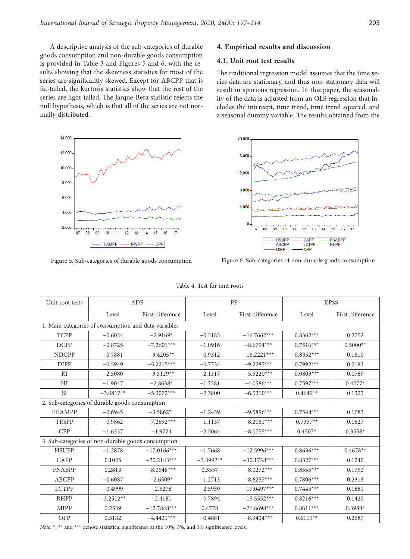A descriptive analysis of the sub-categories of durable goods consumption and non-durable goods consumption is provided in Table 3 and Figures 5 and 6, with the results showing that the skewness statistics for most of the series are significantly skewed. Except for ABCPP that is fat-tailed, the kurtosis statistics show that the rest of the series are light-tailed. The Jarque-Bera statistic rejects the null hypothesis, which is that all of the series are not normally distributed.



# **4. Empirical results and discussion**

# **4.1. Unit root test results**

The traditional regression model assumes that the time series data are stationary, and thus non-stationary data will result in spurious regression. In this paper, the seasonality of the data is adjusted from an OLS regression that includes the intercept, time trend, time trend squared, and a seasonal dummy variable. The results obtained from the



Figure 5. Sub-categories of durable goods consumption Figure 6. Sub-categories of non-durable goods consumption

| Unit root tests | ADF                                                  |                  |             | PP               |             | <b>KPSS</b>      |  |  |
|-----------------|------------------------------------------------------|------------------|-------------|------------------|-------------|------------------|--|--|
|                 | Level                                                | First difference | Level       | First difference | Level       | First difference |  |  |
|                 | 1. Main categories of consumption and data variables |                  |             |                  |             |                  |  |  |
| <b>TCPP</b>     | $-0.6024$                                            | $-2.9169*$       | $-0.3183$   | $-16.7662***$    | $0.8362***$ | 0.2752           |  |  |
| <b>DCPP</b>     | $-0.8725$                                            | $-7.2601***$     | $-1.0916$   | $-8.6794***$     | $0.7516***$ | $0.5000**$       |  |  |
| <b>NDCPP</b>    | $-0.7881$                                            | $-3.4205**$      | $-0.9312$   | $-18.2221***$    | $0.8352***$ | 0.1810           |  |  |
| <b>DIPP</b>     | $-0.5949$                                            | $-5.2215***$     | $-0.7734$   | $-9.2287***$     | $0.7992***$ | 0.2183           |  |  |
| RI              | $-2.5080$                                            | $-3.5129**$      | $-2.1317$   | $-5.5220***$     | $0.0803***$ | 0.0769           |  |  |
| HI              | $-1.9047$                                            | $-2.8638*$       | $-1.7281$   | $-4.0586***$     | $0.7597***$ | $0.4277*$        |  |  |
| <b>SI</b>       | $-3.0417**$                                          | $-5.3072***$     | $-2.3800$   | $-6.5210***$     | $0.4649**$  | 0.1323           |  |  |
|                 | 2. Sub-categories of durable goods consumption       |                  |             |                  |             |                  |  |  |
| <b>FHAMPP</b>   | $-0.6945$                                            | $-3.5862**$      | $-1.2439$   | $-9.5896***$     | $0.7548***$ | 0.1783           |  |  |
| <b>TRSPP</b>    | $-0.9862$                                            | $-7.2692***$     | $-1.1137$   | $-8.2081***$     | $0.7357**$  | 0.1627           |  |  |
| <b>CPP</b>      | $-1.6337$                                            | $-1.9724$        | $-2.5064$   | $-8.0755***$     | $0.4507*$   | $0.3558*$        |  |  |
|                 | 3. Sub-categories of non-durable goods consumption   |                  |             |                  |             |                  |  |  |
| <b>HSUPP</b>    | $-1.2878$                                            | $-17.0166***$    | $-1.7668$   | $-12.5996***$    | $0.8636***$ | $0.4678**$       |  |  |
| CAPP            | 0.1025                                               | $-20.2143***$    | $-3.3992**$ | $-30.1738***$    | $0.8327***$ | 0.1240           |  |  |
| <b>FNABPP</b>   | 0.2813                                               | $-8.0548***$     | 0.3557      | $-8.0272***$     | $0.8555***$ | 0.1752           |  |  |
| <b>ABCPP</b>    | $-0.6087$                                            | $-2.6509*$       | $-1.2713$   | $-8.6257***$     | $0.7806***$ | 0.2318           |  |  |
| <b>LCTPP</b>    | $-0.4999$                                            | $-2.5278$        | $-2.5959$   | $-17.0497***$    | $0.7445***$ | 0.1881           |  |  |
| <b>RHPP</b>     | $-3.2512**$                                          | $-2.4181$        | $-0.7894$   | $-15.5552***$    | $0.8216***$ | 0.1420           |  |  |
| <b>MIPP</b>     | 0.2539                                               | $-12.7848***$    | 0.4778      | $-21.8698***$    | $0.8611***$ | $0.3988*$        |  |  |
| OPP             | 0.3132                                               | $-4.4421***$     | $-0.4881$   | $-8.9434***$     | $0.6119**$  | 0.2687           |  |  |

Table 4. Test for unit roots

*Note*: \*, \*\* and \*\*\* denote statistical significance at the 10%, 5%, and 1% significance levels.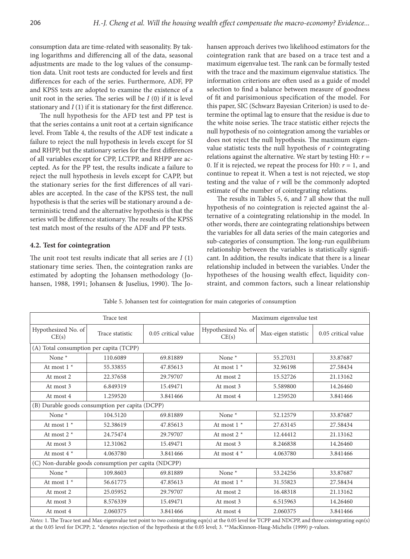consumption data are time-related with seasonality. By taking logarithms and differencing all of the data, seasonal adjustments are made to the log values of the consumption data. Unit root tests are conducted for levels and first differences for each of the series. Furthermore, ADF, PP and KPSS tests are adopted to examine the existence of a unit root in the series. The series will be *I* (0) if it is level stationary and *I* (1) if it is stationary for the first difference.

The null hypothesis for the AFD test and PP test is that the series contains a unit root at a certain significance level. From Table 4, the results of the ADF test indicate a failure to reject the null hypothesis in levels except for SI and RHPP, but the stationary series for the first differences of all variables except for CPP, LCTPP, and RHPP are accepted. As for the PP test, the results indicate a failure to reject the null hypothesis in levels except for CAPP, but the stationary series for the first differences of all variables are accepted. In the case of the KPSS test, the null hypothesis is that the series will be stationary around a deterministic trend and the alternative hypothesis is that the series will be difference stationary. The results of the KPSS test match most of the results of the ADF and PP tests.

# **4.2. Test for cointegration**

The unit root test results indicate that all series are *I* (1) stationary time series. Then, the cointegration ranks are estimated by adopting the Johansen methodology (Johansen, 1988, 1991; Johansen & Juselius, 1990). The Johansen approach derives two likelihood estimators for the cointegration rank that are based on a trace test and a maximum eigenvalue test. The rank can be formally tested with the trace and the maximum eigenvalue statistics. The information criterions are often used as a guide of model selection to find a balance between measure of goodness of fit and parisimonious specification of the model. For this paper, SIC (Schwarz Bayesian Criterion) is used to determine the optimal lag to ensure that the residue is due to the white noise series. The trace statistic either rejects the null hypothesis of no cointegration among the variables or does not reject the null hypothesis. The maximum eigenvalue statistic tests the null hypothesis of *r* cointegrating relations against the alternative. We start by testing H0: *r* = 0. If it is rejected, we repeat the process for H0:  $r = 1$ , and continue to repeat it. When a test is not rejected, we stop testing and the value of *r* will be the commonly adopted estimate of the number of cointegrating relations.

The results in Tables 5, 6, and 7 all show that the null hypothesis of no cointegration is rejected against the alternative of a cointegrating relationship in the model. In other words, there are cointegrating relationships between the variables for all data series of the main categories and sub-categories of consumption. The long-run equilibrium relationship between the variables is statistically significant. In addition, the results indicate that there is a linear relationship included in between the variables. Under the hypotheses of the housing wealth effect, liquidity constraint, and common factors, such a linear relationship

Table 5. Johansen test for cointegration for main categories of consumption

|                                         | Trace test                                           |                     | Maximum eigenvalue test      |                     |                     |
|-----------------------------------------|------------------------------------------------------|---------------------|------------------------------|---------------------|---------------------|
| Hypothesized No. of<br>CE(s)            | Trace statistic                                      | 0.05 critical value | Hypothesized No. of<br>CE(s) | Max-eigen statistic | 0.05 critical value |
| (A) Total consumption per capita (TCPP) |                                                      |                     |                              |                     |                     |
| None <sup>*</sup>                       | 110.6089                                             | 69.81889            | None $*$                     | 55.27031            | 33.87687            |
| At most $1^*$                           | 55.33855                                             | 47.85613            | At most $1^*$                | 32.96198            | 27.58434            |
| At most 2                               | 22.37658                                             | 29.79707            | At most 2                    | 15.52726            | 21.13162            |
| At most 3                               | 6.849319                                             | 15.49471            | At most 3                    | 5.589800            | 14.26460            |
| At most 4                               | 1.259520                                             | 3.841466            | At most 4                    | 1.259520            | 3.841466            |
|                                         | (B) Durable goods consumption per capita (DCPP)      |                     |                              |                     |                     |
| None *                                  | 104.5120                                             | 69.81889            | None *                       | 52.12579            | 33.87687            |
| At most $1$ *                           | 52.38619                                             | 47.85613            | At most $1^*$                | 27.63145            | 27.58434            |
| At most $2^*$                           | 24.75474                                             | 29.79707            | At most 2 $*$                | 12.44412            | 21.13162            |
| At most 3                               | 12.31062                                             | 15.49471            | At most 3                    | 8.246838            | 14.26460            |
| At most $4*$                            | 4.063780                                             | 3.841466            | At most $4*$                 | 4.063780            | 3.841466            |
|                                         | (C) Non-durable goods consumption per capita (NDCPP) |                     |                              |                     |                     |
| None *                                  | 109.8603                                             | 69.81889            | None $*$                     | 53.24256            | 33.87687            |
| At most $1^*$                           | 56.61775                                             | 47.85613            | At most $1^*$                | 31.55823            | 27.58434            |
| At most 2                               | 25.05952                                             | 29.79707            | At most 2                    | 16.48318            | 21.13162            |
| At most 3                               | 8.576339                                             | 15.49471            | At most 3                    | 6.515963            | 14.26460            |
| At most 4                               | 2.060375                                             | 3.841466            | At most 4                    | 2.060375            | 3.841466            |

*Notes:* 1. The Trace test and Max-eigenvalue test point to two cointegrating eqn(s) at the 0.05 level for TCPP and NDCPP, and three cointegrating eqn(s) at the 0.05 level for DCPP; 2. \*denotes rejection of the hypothesis at the 0.05 level; 3. \*\*MacKinnon-Haug-Michelis (1999) p-values.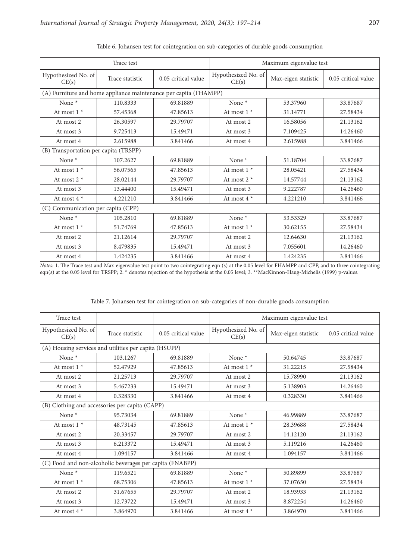|                                       | Trace test      |                                                                  | Maximum eigenvalue test      |                     |                     |  |
|---------------------------------------|-----------------|------------------------------------------------------------------|------------------------------|---------------------|---------------------|--|
| Hypothesized No. of<br>CE(s)          | Trace statistic | 0.05 critical value                                              | Hypothesized No. of<br>CE(s) | Max-eigen statistic | 0.05 critical value |  |
|                                       |                 | (A) Furniture and home appliance maintenance per capita (FHAMPP) |                              |                     |                     |  |
| None *                                | 110.8333        | 69.81889                                                         | None *                       | 53.37960            | 33.87687            |  |
| At most $1$ *                         | 57.45368        | 47.85613                                                         | At most $1^*$                | 31.14771            | 27.58434            |  |
| At most 2                             | 26.30597        | 29.79707                                                         | At most 2                    | 16.58056            | 21.13162            |  |
| At most 3                             | 9.725413        | 15.49471                                                         | At most 3                    | 7.109425            | 14.26460            |  |
| At most 4                             | 2.615988        | 3.841466                                                         | At most 4                    | 2.615988            | 3.841466            |  |
| (B) Transportation per capita (TRSPP) |                 |                                                                  |                              |                     |                     |  |
| None $*$                              | 107.2627        | 69.81889                                                         | None *                       | 51.18704            | 33.87687            |  |
| At most $1^*$                         | 56.07565        | 47.85613                                                         | At most 1 $^\star$           | 28.05421            | 27.58434            |  |
| At most $2$ *                         | 28.02144        | 29.79707                                                         | At most $2^*$                | 14.57744            | 21.13162            |  |
| At most 3                             | 13.44400        | 15.49471                                                         | At most 3                    | 9.222787            | 14.26460            |  |
| At most $4*$                          | 4.221210        | 3.841466                                                         | At most $4*$                 | 4.221210            | 3.841466            |  |
| (C) Communication per capita (CPP)    |                 |                                                                  |                              |                     |                     |  |
| None *                                | 105.2810        | 69.81889                                                         | None *                       | 53.53329            | 33.87687            |  |
| At most $1$ *                         | 51.74769        | 47.85613                                                         | At most $1^*$                | 30.62155            | 27.58434            |  |
| At most 2                             | 21.12614        | 29.79707                                                         | At most 2                    | 12.64630            | 21.13162            |  |
| At most 3                             | 8.479835        | 15.49471                                                         | At most 3                    | 7.055601            | 14.26460            |  |
| At most 4                             | 1.424235        | 3.841466                                                         | At most 4                    | 1.424235            | 3.841466            |  |

|  | Table 6. Johansen test for cointegration on sub-categories of durable goods consumption |
|--|-----------------------------------------------------------------------------------------|
|  |                                                                                         |

*Notes:* 1. The Trace test and Max-eigenvalue test point to two cointegrating eqn (s) at the 0.05 level for FHAMPP and CPP, and to three cointegrating eqn(s) at the 0.05 level for TRSPP; 2. \* denotes rejection of the hypothesis at the 0.05 level; 3. \*\*MacKinnon-Haug-Michelis (1999) p-values.

| Table 7. Johansen test for cointegration on sub-categories of non-durable goods consumption |  |  |  |
|---------------------------------------------------------------------------------------------|--|--|--|
|---------------------------------------------------------------------------------------------|--|--|--|

| Trace test                                     |                                                          |                     | Maximum eigenvalue test      |                     |                     |  |
|------------------------------------------------|----------------------------------------------------------|---------------------|------------------------------|---------------------|---------------------|--|
| Hypothesized No. of<br>CE(s)                   | Trace statistic                                          | 0.05 critical value | Hypothesized No. of<br>CE(s) | Max-eigen statistic | 0.05 critical value |  |
|                                                | (A) Housing services and utilities per capita (HSUPP)    |                     |                              |                     |                     |  |
| None <sup>*</sup>                              | 103.1267                                                 | 69.81889            | None $*$                     | 50.64745            | 33.87687            |  |
| At most $1^*$                                  | 52.47929                                                 | 47.85613            | At most $1^*$                | 31.22215            | 27.58434            |  |
| At most 2                                      | 21.25713                                                 | 29.79707            | At most 2                    | 15.78990            | 21.13162            |  |
| At most 3                                      | 5.467233                                                 | 15.49471            | At most 3                    | 5.138903            | 14.26460            |  |
| At most 4                                      | 0.328330                                                 | 3.841466            | At most 4                    | 0.328330            | 3.841466            |  |
| (B) Clothing and accessories per capita (CAPP) |                                                          |                     |                              |                     |                     |  |
| None *                                         | 95.73034                                                 | 69.81889            | None *                       | 46.99889            | 33.87687            |  |
| At most $1$ *                                  | 48.73145                                                 | 47.85613            | At most $1 *$                | 28.39688            | 27.58434            |  |
| At most 2                                      | 20.33457                                                 | 29.79707            | At most 2                    | 14.12120            | 21.13162            |  |
| At most 3                                      | 6.213372                                                 | 15.49471            | At most 3                    | 5.119216            | 14.26460            |  |
| At most 4                                      | 1.094157                                                 | 3.841466            | At most 4                    | 1.094157            | 3.841466            |  |
|                                                | (C) Food and non-alcoholic beverages per capita (FNABPP) |                     |                              |                     |                     |  |
| None *                                         | 119.6521                                                 | 69.81889            | None $*$                     | 50.89899            | 33.87687            |  |
| At most $1$ *                                  | 68.75306                                                 | 47.85613            | At most $1^*$                | 37.07650            | 27.58434            |  |
| At most 2                                      | 31.67655                                                 | 29.79707            | At most 2                    | 18.93933            | 21.13162            |  |
| At most 3                                      | 12.73722                                                 | 15.49471            | At most 3                    | 8.872254            | 14.26460            |  |
| At most $4*$                                   | 3.864970                                                 | 3.841466            | At most $4*$                 | 3.864970            | 3.841466            |  |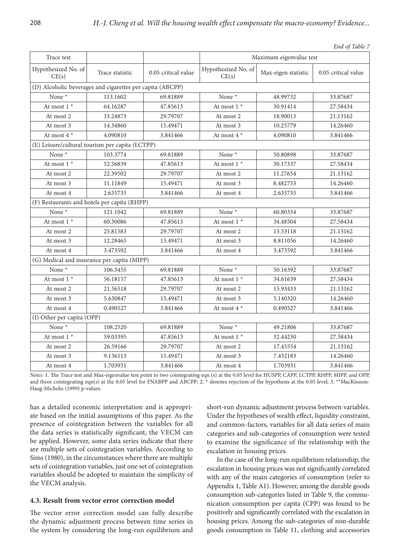|                              |                                                           |                     |                              |                         | End of Table 7      |
|------------------------------|-----------------------------------------------------------|---------------------|------------------------------|-------------------------|---------------------|
| Trace test                   |                                                           |                     |                              | Maximum eigenvalue test |                     |
| Hypothesized No. of<br>CE(s) | Trace statistic                                           | 0.05 critical value | Hypothesized No. of<br>CE(s) | Max-eigen statistic     | 0.05 critical value |
|                              | (D) Alcoholic beverages and cigarettes per capita (ABCPP) |                     |                              |                         |                     |
| None *                       | 113.1602                                                  | 69.81889            | None *                       | 48.99732                | 33.87687            |
| At most 1 *                  | 64.16287                                                  | 47.85613            | At most $1*$                 | 30.91414                | 27.58434            |
| At most 2                    | 33.24873                                                  | 29.79707            | At most 2                    | 18.90013                | 21.13162            |
| At most 3                    | 14.34860                                                  | 15.49471            | At most 3                    | 10.25779                | 14.26460            |
| At most $4*$                 | 4.090810                                                  | 3.841466            | At most $4*$                 | 4.090810                | 3.841466            |
|                              | (E) Leisure/cultural tourism per capita (LCTPP)           |                     |                              |                         |                     |
| None *                       | 103.3774                                                  | 69.81889            | None *                       | 50.80898                | 33.87687            |
| At most 1 $^\star$           | 52.56839                                                  | 47.85613            | At most 1 *                  | 30.17337                | 27.58434            |
| At most 2                    | 22.39502                                                  | 29.79707            | At most 2                    | 11.27654                | 21.13162            |
| At most 3                    | 11.11849                                                  | 15.49471            | At most 3                    | 8.482753                | 14.26460            |
| At most 4                    | 2.635735                                                  | 3.841466            | At most 4                    | 2.635735                | 3.841466            |
|                              | (F) Restaurants and hotels per capita (RHPP)              |                     |                              |                         |                     |
| None *                       | 121.1042                                                  | 69.81889            | None *                       | 60.80334                | 33.87687            |
| At most 1 $*$                | 60.30086                                                  | 47.85613            | At most $1$ *                | 34.48504                | 27.58434            |
| At most 2                    | 25.81583                                                  | 29.79707            | At most 2                    | 13.53118                | 21.13162            |
| At most 3                    | 12.28465                                                  | 15.49471            | At most 3                    | 8.811056                | 14.26460            |
| At most 4                    | 3.473592                                                  | 3.841466            | At most 4                    | 3.473592                | 3.841466            |
|                              | (G) Medical and insurance per capita (MIPP)               |                     |                              |                         |                     |
| None *                       | 106.3455                                                  | 69.81889            | None *                       | 50.16392                | 33.87687            |
| At most 1 $^\star$           | 56.18157                                                  | 47.85613            | At most $1^*$                | 34.61639                | 27.58434            |
| At most 2                    | 21.56518                                                  | 29.79707            | At most 2                    | 15.93433                | 21.13162            |
| At most 3                    | 5.630847                                                  | 15.49471            | At most 3                    | 5.140320                | 14.26460            |
| At most 4                    | 0.490527                                                  | 3.841466            | At most 4 *                  | 0.490527                | 3.841466            |
| (I) Other per capita (OPP)   |                                                           |                     |                              |                         |                     |
| None *                       | 108.2520                                                  | 69.81889            | None *                       | 49.21806                | 33.87687            |
| At most 1 *                  | 59.03395                                                  | 47.85613            | At most $1^*$                | 32.44230                | 27.58434            |
| At most 2                    | 26.59166                                                  | 29.79707            | At most 2                    | 17.45554                | 21.13162            |
| At most 3                    | 9.136113                                                  | 15.49471            | At most 3                    | 7.432183                | 14.26460            |
| At most 4                    | 1.703931                                                  | 3.841466            | At most 4                    | 1.703931                | 3.841466            |

*Notes:* 1. The Trace test and Max-eigenvalue test point to two cointegrating eqn (s) at the 0.05 level for HUSPP, CAPP, LCTPP, RHPP, MIPP, and OPP, and three cointegrating eqn(s) at the 0.05 level for FNABPP and ABCPP; 2. \* denotes rejection of the hypothesis at the 0.05 level; 3. \*\*MacKinnon-Haug-Michelis (1999) p-values.

has a detailed economic interpretation and is appropriate based on the initial assumptions of this paper. As the presence of cointegration between the variables for all the data series is statistically significant, the VECM can be applied. However, some data series indicate that there are multiple sets of cointegration variables. According to Sims (1980), in the circumstances where there are multiple sets of cointegration variables, just one set of cointegration variables should be adopted to maintain the simplicity of the VECM analysis.

# **4.3. Result from vector error correction model**

The vector error correction model can fully describe the dynamic adjustment process between time series in the system by considering the long-run equilibrium and short-run dynamic adjustment process between variables. Under the hypotheses of wealth effect, liquidity constraint, and common-factors, variables for all data series of main categories and sub-categories of consumption were tested to examine the significance of the relationship with the escalation in housing prices.

In the case of the long-run equilibrium relationship, the escalation in housing prices was not significantly correlated with any of the main categories of consumption (refer to Appendix 1, Table A1). However, among the durable goods consumption sub-categories listed in Table 9, the communication consumption per capita (CPP) was found to be positively and significantly correlated with the escalation in housing prices. Among the sub-categories of non-durable goods consumption in Table 11, clothing and accessories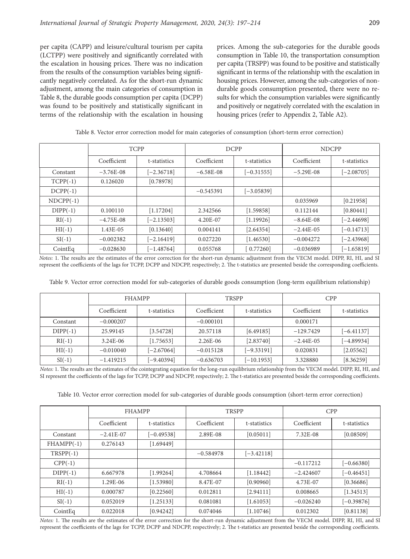per capita (CAPP) and leisure/cultural tourism per capita (LCTPP) were positively and significantly correlated with the escalation in housing prices. There was no indication from the results of the consumption variables being significantly negatively correlated. As for the short-run dynamic adjustment, among the main categories of consumption in Table 8, the durable goods consumption per capita (DCPP) was found to be positively and statistically significant in terms of the relationship with the escalation in housing prices. Among the sub-categories for the durable goods consumption in Table 10, the transportation consumption per capita (TRSPP) was found to be positive and statistically significant in terms of the relationship with the escalation in housing prices. However, among the sub-categories of nondurable goods consumption presented, there were no results for which the consumption variables were significantly and positively or negatively correlated with the escalation in housing prices (refer to Appendix 2, Table A2).

|             | <b>TCPP</b> |              |             | <b>DCPP</b>  |             | <b>NDCPP</b> |  |  |
|-------------|-------------|--------------|-------------|--------------|-------------|--------------|--|--|
|             | Coefficient | t-statistics | Coefficient | t-statistics | Coefficient | t-statistics |  |  |
| Constant    | $-3.76E-08$ | $[-2.36718]$ | $-6.58E-08$ | $[-0.31555]$ | $-5.29E-08$ | $[-2.08705]$ |  |  |
| $TCP(-1)$   | 0.126020    | [0.78978]    |             |              |             |              |  |  |
| $DCPP(-1)$  |             |              | $-0.545391$ | $[-3.05839]$ |             |              |  |  |
| $NDCPP(-1)$ |             |              |             |              | 0.035969    | [0.21958]    |  |  |
| $DIPP(-1)$  | 0.100110    | [1.17204]    | 2.342566    | [1.59858]    | 0.112144    | [0.80441]    |  |  |
| $RI(-1)$    | $-4.75E-08$ | $[-2.13503]$ | 4.20E-07    | [1.19926]    | $-8.64E-08$ | $[-2.44698]$ |  |  |
| $HI(-1)$    | 1.43E-05    | [0.13640]    | 0.004141    | [2.64354]    | $-2.44E-05$ | $[-0.14713]$ |  |  |
| $SI(-1)$    | $-0.002382$ | $[-2.16419]$ | 0.027220    | [1.46530]    | $-0.004272$ | $[-2.43968]$ |  |  |
| CointEq     | $-0.028630$ | $[-1.48764]$ | 0.055768    | 0.77260      | $-0.036989$ | $[-1.65819]$ |  |  |

Table 8. Vector error correction model for main categories of consumption (short-term error correction)

*Notes:* 1. The results are the estimates of the error correction for the short-run dynamic adjustment from the VECM model. DIPP, RI, HI, and SI represent the coefficients of the lags for TCPP, DCPP and NDCPP, respectively; 2. The t-statistics are presented beside the corresponding coefficients.

Table 9. Vector error correction model for sub-categories of durable goods consumption (long-term equilibrium relationship)

|            | <b>FHAMPP</b> |              |                             | <b>TRSPP</b> | <b>CPP</b>   |              |  |
|------------|---------------|--------------|-----------------------------|--------------|--------------|--------------|--|
|            | Coefficient   | t-statistics | Coefficient<br>t-statistics |              | Coefficient  | t-statistics |  |
| Constant   | $-0.000207$   |              | $-0.000101$                 |              | 0.000171     |              |  |
| $DIPP(-1)$ | 25.99145      | [3.54728]    | 20.57118                    | [6.49185]    | $-129.7429$  | $[-6.41137]$ |  |
| $RI(-1)$   | $3.24E-06$    | [1.75653]    | $2.26E-06$                  | [2.83740]    | $-2.44E-0.5$ | $[-4.89934]$ |  |
| $HI(-1)$   | $-0.010040$   | $[-2.67064]$ | $-0.015128$                 | $[-9.33191]$ | 0.020831     | [2.05562]    |  |
| $SI(-1)$   | $-1.419215$   | $[-9.40394]$ | $-0.636703$                 | $[-10.1953]$ | 3.328880     | [8.36259]    |  |

*Notes:* 1. The results are the estimates of the cointegrating equation for the long-run equilibrium relationship from the VECM model. DIPP, RI, HI, and SI represent the coefficients of the lags for TCPP, DCPP and NDCPP, respectively; 2. The t-statistics are presented beside the corresponding coefficients.

Table 10. Vector error correction model for sub-categories of durable goods consumption (short-term error correction)

|             | <b>FHAMPP</b> |              | <b>TRSPP</b> |              | <b>CPP</b>  |              |
|-------------|---------------|--------------|--------------|--------------|-------------|--------------|
|             | Coefficient   | t-statistics | Coefficient  | t-statistics | Coefficient | t-statistics |
| Constant    | $-2.41E-07$   | $[-0.49538]$ | 2.89E-08     | [0.05011]    | 7.32E-08    | [0.08509]    |
| $FHAMP(-1)$ | 0.276143      | [1.69449]    |              |              |             |              |
| $TRSPP(-1)$ |               |              | $-0.584978$  | $[-3.42118]$ |             |              |
| $CPP(-1)$   |               |              |              |              | $-0.117212$ | $[-0.66380]$ |
| $DIPP(-1)$  | 6.667978      | [1.99264]    | 4.708664     | [1.18442]    | $-2.424607$ | $[-0.46451]$ |
| $RI(-1)$    | 1.29E-06      | [1.53980]    | 8.47E-07     | [0.90960]    | 4.73E-07    | [0.36686]    |
| $HI(-1)$    | 0.000787      | [0.22560]    | 0.012811     | [2.94111]    | 0.008665    | [1.34513]    |
| $SI(-1)$    | 0.052019      | [1.25133]    | 0.081081     | [1.61053]    | $-0.026240$ | $[-0.39876]$ |
| CointEq     | 0.022018      | [0.94242]    | 0.074046     | [1.10746]    | 0.012302    | [0.81138]    |

*Notes:* 1. The results are the estimates of the error correction for the short-run dynamic adjustment from the VECM model. DIPP, RI, HI, and SI represent the coefficients of the lags for TCPP, DCPP and NDCPP, respectively; 2. The t-statistics are presented beside the corresponding coefficients.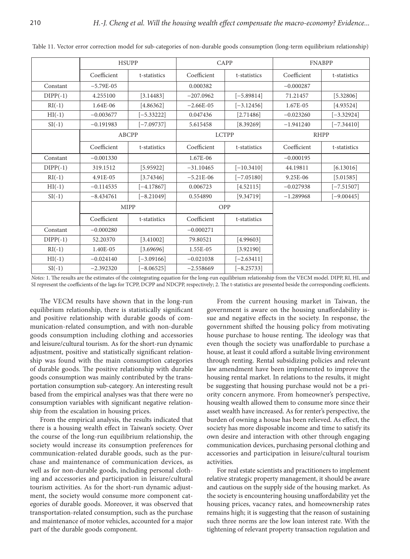|            | <b>HSUPP</b> |              | CAPP         |              | <b>FNABPP</b> |              |
|------------|--------------|--------------|--------------|--------------|---------------|--------------|
|            | Coefficient  | t-statistics | Coefficient  | t-statistics | Coefficient   | t-statistics |
| Constant   | $-5.79E-05$  |              | 0.000382     |              | $-0.000287$   |              |
| $DIPP(-1)$ | 4.255100     | [3.14483]    | $-207.0962$  | $[-5.89814]$ | 71.21457      | [5.32806]    |
| $RI(-1)$   | 1.64E-06     | [4.86362]    | $-2.66E-05$  | $[-3.12456]$ | 1.67E-05      | [4.93524]    |
| $HI(-1)$   | $-0.003677$  | $[-5.33222]$ | 0.047436     | [2.71486]    | $-0.023260$   | $[-3.32924]$ |
| $SI(-1)$   | $-0.191983$  | $[-7.09737]$ | 5.615458     | [8.39269]    | $-1.941240$   | $[-7.34410]$ |
|            | <b>ABCPP</b> |              | <b>LCTPP</b> |              | <b>RHPP</b>   |              |
|            | Coefficient  | t-statistics | Coefficient  | t-statistics | Coefficient   | t-statistics |
| Constant   | $-0.001330$  |              | 1.67E-06     |              | $-0.000195$   |              |
| $DIPP(-1)$ | 319.1512     | [5.95922]    | $-31.10465$  | $[-10.3410]$ | 44.19811      | [6.13016]    |
| $RI(-1)$   | 4.91E-05     | [3.74346]    | $-5.21E-06$  | $[-7.05180]$ | 9.25E-06      | [5.01585]    |
| $HI(-1)$   | $-0.114535$  | $[-4.17867]$ | 0.006723     | [4.52115]    | $-0.027938$   | $[-7.51507]$ |
| $SI(-1)$   | $-8.434761$  | $[-8.21049]$ | 0.554890     | [9.34719]    | $-1.289968$   | $[-9.00445]$ |
|            | <b>MIPP</b>  |              | OPP          |              |               |              |
|            | Coefficient  | t-statistics | Coefficient  | t-statistics |               |              |
| Constant   | $-0.000280$  |              | $-0.000271$  |              |               |              |
| $DIPP(-1)$ | 52.20370     | [3.41002]    | 79.80521     | [4.99603]    |               |              |
| $RI(-1)$   | 1.40E-05     | [3.69696]    | 1.55E-05     | [3.92190]    |               |              |
| $HI(-1)$   | $-0.024140$  | $[-3.09166]$ | $-0.021038$  | $[-2.63411]$ |               |              |
| $SI(-1)$   | $-2.392320$  | $[-8.06525]$ | $-2.558669$  | $[-8.25733]$ |               |              |

Table 11. Vector error correction model for sub-categories of non-durable goods consumption (long-term equilibrium relationship)

*Notes:* 1. The results are the estimates of the cointegrating equation for the long-run equilibrium relationship from the VECM model. DIPP, RI, HI, and SI represent the coefficients of the lags for TCPP, DCPP and NDCPP, respectively; 2. The t-statistics are presented beside the corresponding coefficients.

The VECM results have shown that in the long-run equilibrium relationship, there is statistically significant and positive relationship with durable goods of communication-related consumption, and with non-durable goods consumption including clothing and accessories and leisure/cultural tourism. As for the short-run dynamic adjustment, positive and statistically significant relationship was found with the main consumption categories of durable goods. The positive relationship with durable goods consumption was mainly contributed by the transportation consumption sub-category. An interesting result based from the empirical analyses was that there were no consumption variables with significant negative relationship from the escalation in housing prices.

From the empirical analysis, the results indicated that there is a housing wealth effect in Taiwan's society. Over the course of the long-run equilibrium relationship, the society would increase its consumption preferences for communication-related durable goods, such as the purchase and maintenance of communication devices, as well as for non-durable goods, including personal clothing and accessories and participation in leisure/cultural tourism activities. As for the short-run dynamic adjustment, the society would consume more component categories of durable goods. Moreover, it was observed that transportation-related consumption, such as the purchase and maintenance of motor vehicles, accounted for a major part of the durable goods component.

From the current housing market in Taiwan, the government is aware on the housing unaffordability issue and negative effects in the society. In response, the government shifted the housing policy from motivating house purchase to house renting. The ideology was that even though the society was unaffordable to purchase a house, at least it could afford a suitable living environment through renting. Rental subsidizing policies and relevant law amendment have been implemented to improve the housing rental market. In relations to the results, it might be suggesting that housing purchase would not be a priority concern anymore. From homeowner's perspective, housing wealth allowed them to consume more since their asset wealth have increased. As for renter's perspective, the burden of owning a house has been relieved. As effect, the society has more disposable income and time to satisfy its own desire and interaction with other through engaging communication devices, purchasing personal clothing and accessories and participation in leisure/cultural tourism activities.

For real estate scientists and practitioners to implement relative strategic property management, it should be aware and cautious on the supply side of the housing market. As the society is encountering housing unaffordability yet the housing prices, vacancy rates, and homeownership rates remains high; it is suggesting that the reason of sustaining such three norms are the low loan interest rate. With the tightening of relevant property transaction regulation and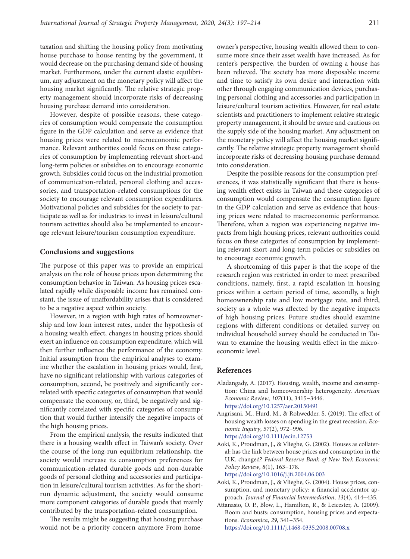taxation and shifting the housing policy from motivating house purchase to house renting by the government, it would decrease on the purchasing demand side of housing market. Furthermore, under the current elastic equilibrium, any adjustment on the monetary policy will affect the housing market significantly. The relative strategic property management should incorporate risks of decreasing housing purchase demand into consideration.

However, despite of possible reasons, these categories of consumption would compensate the consumption figure in the GDP calculation and serve as evidence that housing prices were related to macroeconomic performance. Relevant authorities could focus on these categories of consumption by implementing relevant short-and long-term policies or subsidies on to encourage economic growth. Subsidies could focus on the industrial promotion of communication-related, personal clothing and accessories, and transportation-related consumptions for the society to encourage relevant consumption expenditures. Motivational policies and subsidies for the society to participate as well as for industries to invest in leisure/cultural tourism activities should also be implemented to encourage relevant leisure/tourism consumption expenditure.

## **Conclusions and suggestions**

The purpose of this paper was to provide an empirical analysis on the role of house prices upon determining the consumption behavior in Taiwan. As housing prices escalated rapidly while disposable income has remained constant, the issue of unaffordability arises that is considered to be a negative aspect within society.

However, in a region with high rates of homeownership and low loan interest rates, under the hypothesis of a housing wealth effect, changes in housing prices should exert an influence on consumption expenditure, which will then further influence the performance of the economy. Initial assumption from the empirical analyses to examine whether the escalation in housing prices would, first, have no significant relationship with various categories of consumption, second, be positively and significantly correlated with specific categories of consumption that would compensate the economy, or, third, be negatively and significantly correlated with specific categories of consumption that would further intensify the negative impacts of the high housing prices.

From the empirical analysis, the results indicated that there is a housing wealth effect in Taiwan's society. Over the course of the long-run equilibrium relationship, the society would increase its consumption preferences for communication-related durable goods and non-durable goods of personal clothing and accessories and participation in leisure/cultural tourism activities. As for the shortrun dynamic adjustment, the society would consume more component categories of durable goods that mainly contributed by the transportation-related consumption.

The results might be suggesting that housing purchase would not be a priority concern anymore From home-

owner's perspective, housing wealth allowed them to consume more since their asset wealth have increased. As for renter's perspective, the burden of owning a house has been relieved. The society has more disposable income and time to satisfy its own desire and interaction with other through engaging communication devices, purchasing personal clothing and accessories and participation in leisure/cultural tourism activities. However, for real estate scientists and practitioners to implement relative strategic property management, it should be aware and cautious on the supply side of the housing market. Any adjustment on the monetary policy will affect the housing market significantly. The relative strategic property management should incorporate risks of decreasing housing purchase demand into consideration.

Despite the possible reasons for the consumption preferences, it was statistically significant that there is housing wealth effect exists in Taiwan and these categories of consumption would compensate the consumption figure in the GDP calculation and serve as evidence that housing prices were related to macroeconomic performance. Therefore, when a region was experiencing negative impacts from high housing prices, relevant authorities could focus on these categories of consumption by implementing relevant short-and long-term policies or subsidies on to encourage economic growth.

A shortcoming of this paper is that the scope of the research region was restricted in order to meet prescribed conditions, namely, first, a rapid escalation in housing prices within a certain period of time, secondly, a high homeownership rate and low mortgage rate, and third, society as a whole was affected by the negative impacts of high housing prices. Future studies should examine regions with different conditions or detailed survey on individual household survey should be conducted in Taiwan to examine the housing wealth effect in the microeconomic level.

#### **References**

- Aladangady, A. (2017). Housing, wealth, income and consumption: China and homeownership heterogeneity. *American Economic Review*, *107*(11), 3415−3446. <https://doi.org/10.1257/aer.20150491>
- Angrisani, M., Hurd, M., & Rohwedder, S. (2019). The effect of housing wealth losses on spending in the great recession. *Economic Inquiry*, *57*(2), 972−996. <https://doi.org/10.1111/ecin.12753>
- Aoki, K., Proudman, J., & Vlieghe, G. (2002). Houses as collateral: has the link between house prices and consumption in the U.K. changed? *Federal Reserve Bank of New York Economic Policy Review*, *8*(1), 163−178. <https://doi.org/10.1016/j.jfi.2004.06.003>
- Aoki, K., Proudman, J., & Vlieghe, G. (2004). House prices, con-
- sumption, and monetary policy: a financial accelerator approach. *Journal of Financial Intermediation*, *13*(4), 414−435.
- Attanasio, O. P., Blow, L., Hamilton, R., & Leicester, A. (2009). Boom and busts: consumption, housing prices and expectations. *Economica*, *29*, 341−354. <https://doi.org/10.1111/j.1468-0335.2008.00708.x>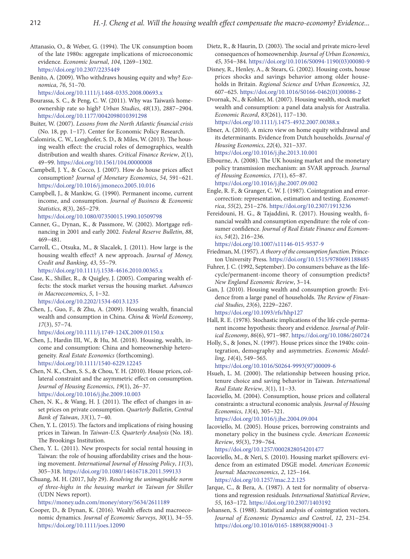- Attanasio, O., & Weber, G. (1994). The UK consumption boom of the late 1980s: aggregate implications of microeconomic evidence. *Economic Journal*, *104*, 1269−1302. <https://doi.org/10.2307/2235449>
- Benito, A. (2009). Who withdraws housing equity and why? *Economica*, *76*, 51–70.

<https://doi.org/10.1111/j.1468-0335.2008.00693.x>

- Bourassa, S. C., & Peng, C. W. (2011). Why was Taiwan's homeownership rate so high? *Urban Studies*, *48*(13), 2887−2904. <https://doi.org/10.1177/0042098010391298>
- Buiter, W. (2007). *Lessons from the North Atlantic financial crisis* (No. 18, pp. 1−17). Center for Economic Policy Research.
- Calomiris, C. W., Longhofer, S. D., & Miles, W. (2013). The housing wealth effect: the crucial roles of demographics, wealth distribution and wealth shares. *Critical Finance Review*, *2*(1), 49−99. <https://doi.org/10.1561/104.00000008>
- Campbell, J. Y., & Cocco, J. (2007). How do house prices affect consumption? *Journal of Monetary Economics*, *54*, 591−621. <https://doi.org/10.1016/j.jmoneco.2005.10.016>
- Campbell, J., & Mankiw, G. (1990). Permanent income, current income, and consumption. *Journal of Business* & *Economic Statistics*, *8*(3), 265−279.

<https://doi.org/10.1080/07350015.1990.10509798>

- Canner, G., Dynan, K., & Passmore, W. (2002). Mortgage refinancing in 2001 and early 2002. *Federal Reserve Bulletin*, *88*, 469−481.
- Carroll, C., Otsuka, M., & Slacalek, J. (2011). How large is the housing wealth effect? A new approach. *Journal of Money, Credit and Banking*, *43*, 55−79. <https://doi.org/10.1111/j.1538-4616.2010.00365.x>
- Case, K., Shiller, R., & Quigley, J. (2005). Comparing wealth effects: the stock market versus the housing market. *Advances in Macroeconomics*, *5*, 1−32. <https://doi.org/10.2202/1534-6013.1235>
- Chen, J., Guo, F., & Zhu, A. (2009). Housing wealth, financial wealth and consumption in China. *China* & *World Economy*, *17*(3), 57−74.

<https://doi.org/10.1111/j.1749-124X.2009.01150.x>

- Chen, J., Hardin III, W., & Hu, M. (2018). Housing, wealth, income and consumption: China and homeownership heterogeneity. *Real Estate Economics* (forthcoming). <https://doi.org/10.1111/1540-6229.12245>
- Chen, N. K., Chen, S. S., & Chou, Y. H. (2010). House prices, collateral constraint and the asymmetric effect on consumption. *Journal of Housing Economics*, *19*(1), 26−37. <https://doi.org/10.1016/j.jhe.2009.10.003>
- Chen, N. K., & Wang, H. J. (2011). The effect of changes in asset prices on private consumption. *Quarterly Bulletin*, *Central Bank of Taiwan*, *33*(1), 7−40.
- Chen, Y. L. (2015). The factors and implications of rising housing prices in Taiwan. In *Taiwan-U.S. Quarterly Analysis* (No. 18). The Brookings Institution.
- Chen, Y. L. (2011). New prospects for social rental housing in Taiwan: the role of housing affordability crises and the housing movement. *International Journal of Housing Policy*, *11*(3), 305−318. <https://doi.org/10.1080/14616718.2011.599133>
- Chuang, M. H. (2017, July 29). *Resolving the unimaginable norm of three-highs in the housing market in Taiwan for Shiller* (UDN News report).

<https://money.udn.com/money/story/5634/2611189>

Cooper, D., & Dynan, K. (2016). Wealth effects and macroeconomic dynamics. *Journal of Economic Surveys*, *30*(1), 34−55. <https://doi.org/10.1111/joes.12090>

- Dietz, R., & Haurin, D. (2003). The social and private micro-level consequences of homeownership. *Journal of Urban Economics*, *45*, 354−384. [https://doi.org/10.1016/S0094-1190\(03\)00080-9](https://doi.org/10.1016/S0094-1190(03)00080-9)
- Disney, R., Henley, A., & Stears, G. (2002). Housing costs, house prices shocks and savings behavior among older households in Britain. *Regional Science and Urban Economics*, *32*, 607−625. [https://doi.org/10.1016/S0166-0462\(01\)00086-2](https://doi.org/10.1016/S0166-0462(01)00086-2)
- Dvornak, N., & Kohler, M. (2007). Housing wealth, stock market wealth and consumption: a panel data analysis for Australia. *Economic Record*, *83*(261), 117−130. <https://doi.org/10.1111/j.1475-4932.2007.00388.x>

Ebner, A. (2010). A micro view on home equity withdrawal and its determinants. Evidence from Dutch households. *[Journal of](https://www.sciencedirect.com/science/journal/10511377) [Housing Economics](https://www.sciencedirect.com/science/journal/10511377)*, *22*(4), 321−337. <https://doi.org/10.1016/j.jhe.2013.10.001>

Elbourne, A. (2008). The UK housing market and the monetary policy transmission mechanism: an SVAR approach. *Journal of Housing Economics*, *17*(1), 65−87. <https://doi.org/10.1016/j.jhe.2007.09.002>

- Engle, R. F., & Granger, C. W. J. (1987). Cointegration and errorcorrection: representation, estimation and testing. *Econometrica*, *55*(2), 251−276. <https://doi.org/10.2307/1913236>
- Fereidouni, H. G., & Tajaddini, R. (2017). Housing wealth, financial wealth and consumption expenditure: the role of consumer confidence. *Journal of Real Estate Finance and Economics*, *54*(2), 216−236.

<https://doi.org/10.1007/s11146-015-9537-9>

- Friedman, M. (1957). *A theory of the consumption function*. Princeton University Press. <https://doi.org/10.1515/9780691188485>
- Fuhrer, J. C. (1992, September). Do consumers behave as the lifecycle/permanent-income theory of consumption predicts? *New England Economic Review*, 3−14.
- Gan, J. (2010). Housing wealth and consumption growth: Evidence from a large panel of households. *The Review of Financial Studies*, *23*(6), 2229−2267. <https://doi.org/10.1093/rfs/hhp127>

Hall, R. E. (1978). Stochastic implications of the life cycle-permanent income hypothesis: theory and evidence. *Journal of Political Economy*, *86*(6), 971−987.<https://doi.org/10.1086/260724>

Holly, S., & Jones, N. (1997). House prices since the 1940s: cointegration, demography and asymmetries. *Economic Modelling*, *14*(4), 549−565.

[https://doi.org/10.1016/S0264-9993\(97\)00009-6](https://doi.org/10.1016/S0264-9993(97)00009-6)

- [Hsueh](file:///D:/Rasa_Stankevi%c4%8diut%c4%97_2017-11-11/DARBAI/D%20A%20R%20B%20A%20I/Z%20U%20R%20N%20A%20L%20A%20I/TSPM/TSPM_24/Article%20in%20press/txt/javascript:;), L. M. (2000). The relationship between housing price, tenure choice and saving behavior in Taiwan. *International Real Estate Review*, *3*(1), 11−33.
- Iacoviello, M. (2004). Consumption, house prices and collateral constraints: a structural economic analysis. *Journal of Housing Economics*, *13*(4), 305−321. <https://doi.org/10.1016/j.jhe.2004.09.004>
- Iacoviello, M. (2005). House prices, borrowing constraints and monetary policy in the business cycle. *American Economic Review*, *95*(3), 739−764. <https://doi.org/10.1257/0002828054201477>
- Iacoviello, M., & Neri, S. (2010). Housing market spillovers: evidence from an estimated DSGE model. *American Economic Journal: Macroeconomics*, *2*, 125−164. <https://doi.org/10.1257/mac.2.2.125>
- Jarque, C., & Bera, A. (1987). A test for normality of observations and regression residuals. *International Statistical Review*, *55*, 163−172.<https://doi.org/10.2307/1403192>
- Johansen, S. (1988). Statistical analysis of cointegration vectors. *Journal of Economic Dynamics and Control*, *12*, 231−254. [https://doi.org/10.1016/0165-1889\(88\)90041-3](https://doi.org/10.1016/0165-1889(88)90041-3)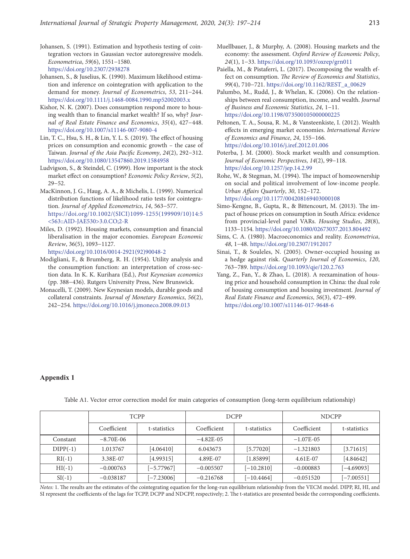- Johansen, S. (1991). Estimation and hypothesis testing of cointegration vectors in Gaussian vector autoregressive models. *Econometrica*, *59*(6), 1551−1580. <https://doi.org/10.2307/2938278>
- Johansen, S., & Juselius, K. (1990). Maximum likelihood estimation and inference on cointegration with application to the demand for money. *Journal of Econometrics*, *53*, 211−244. <https://doi.org/10.1111/j.1468-0084.1990.mp52002003.x>
- Kishor, N. K. (2007). Does consumption respond more to housing wealth than to financial market wealth? If so, why? *Journal of Real Estate Finance and Economics*, *35*(4), 427−448. <https://doi.org/10.1007/s11146-007-9080-4>
- Lin, T. C., Hsu, S. H., & Lin, Y. L. S. (2019). The effect of housing prices on consumption and economic growth – the case of Taiwan. *Journal of the Asia Pacific Economy*, *24*(2), 292−312. <https://doi.org/10.1080/13547860.2019.1584958>
- Ludvigson, S., & Steindel, C. (1999). How important is the stock market effect on consumption? *Economic Policy Review*, *5*(2), 29−52.
- MacKinnon, J. G., Haug, A. A., & Michelis, L. (1999). Numerical distribution functions of likelihood ratio tests for cointegration. *Journal of Applied Econometrics*, *14*, 563−577. [https://doi.org/10.1002/\(SICI\)1099-1255\(199909/10\)14:5](https://doi.org/10.1002/(SICI)1099-1255(199909/10)14:5%3C563::AID-JAE530%3E3.0.CO;2-R) [<563::AID-JAE530>3.0.CO;2-R](https://doi.org/10.1002/(SICI)1099-1255(199909/10)14:5%3C563::AID-JAE530%3E3.0.CO;2-R)
- Miles, D. (1992). Housing markets, consumption and financial liberalisation in the major economies. *European Economic Review*, 36(5), 1093−1127. [https://doi.org/10.1016/0014-2921\(92\)90048-2](https://doi.org/10.1016/0014-2921(92)90048-2)
- Modigliani, F., & Brumberg, R. H. (1954). Utility analysis and the consumption function: an interpretation of cross-section data. In K. K. Kurihara (Ed.), *Post Keynesian economics* (pp. 388−436). Rutgers University Press, New Brunswick.
- Monacelli, T. (2009). New Keynesian models, durable goods and collateral constraints. *Journal of Monetary Economics*, *56*(2), 242−254. <https://doi.org/10.1016/j.jmoneco.2008.09.013>
- Muellbauer, J., & Murphy, A. (2008). Housing markets and the economy: the assessment. *Oxford Review of Economic Policy*, *24*(1), 1−33. <https://doi.org/10.1093/oxrep/grn011>
- Paiella, M., & Pistaferri, L. (2017). Decomposing the wealth effect on consumption. *The Review of Economics and Statistics*, *99*(4), 710−721. [https://doi.org/10.1162/REST\\_a\\_00629](https://doi.org/10.1162/REST_a_00629)
- Palumbo, M., Rudd, J., & Whelan, K. (2006). On the relationships between real consumption, income, and wealth. *Journal of Business and Economic Statistics*, *24*, 1−11. <https://doi.org/10.1198/073500105000000225>
- Peltonen, T. A., Sousa, R. M., & Vansteenkiste, I. (2012). Wealth effects in emerging market economies. *[International Review](https://www.sciencedirect.com/science/journal/10590560)  [of Economics and Finance](https://www.sciencedirect.com/science/journal/10590560)*, *24*, 155−166. <https://doi.org/10.1016/j.iref.2012.01.006>
- Poterba, J. M. (2000). Stock market wealth and consumption. *Journal of Economic Perspectives*, *14*(2), 99−118. <https://doi.org/10.1257/jep.14.2.99>
- Rohe, W., & Stegman, M. (1994). The impact of homeownership on social and political involvement of low-income people. *Urban Affairs Quarterly*, *30*, 152−172. <https://doi.org/10.1177/004208169403000108>
- Simo-Kengne, B., Gupta, R., & Bittencourt, M. (2013). The impact of house prices on consumption in South Africa: evidence from provincial-level panel VARs. *Housing Studies*, *28*(8), 1133−1154. <https://doi.org/10.1080/02673037.2013.804492>
- Sims, C. A. (1980). Macroeconomics and reality. *Econometrica*, *48*, 1−48. <https://doi.org/10.2307/1912017>
- Sinai, T., & Souleles, N. (2005). Owner-occupied housing as a hedge against risk. *Quarterly Journal of Economics*, *120*, 763−789. <https://doi.org/10.1093/qje/120.2.763>
- Yang, Z., Fan, Y., & Zhao, L. (2018). A reexamination of housing price and household consumption in China: the dual role of housing consumption and housing investment. *Journal of Real Estate Finance and Economics*, *56*(3), 472−499. <https://doi.org/10.1007/s11146-017-9648-6>

## **Appendix 1**

|            | <b>TCPP</b> |              | <b>DCPP</b>  |              | <b>NDCPP</b> |              |
|------------|-------------|--------------|--------------|--------------|--------------|--------------|
|            | Coefficient | t-statistics | Coefficient  | t-statistics | Coefficient  | t-statistics |
| Constant   | $-8.70E-06$ |              | $-4.82E-0.5$ |              | $-1.07E-0.5$ |              |
| $DIPP(-1)$ | 1.013767    | [4.06410]    | 6.043673     | [5.77020]    | $-1.321803$  | [3.71615]    |
| $RI(-1)$   | 3.38E-07    | [4.99315]    | 4.89E-07     | [1.85899]    | 4.61E-07     | [4.84642]    |
| $HI(-1)$   | $-0.000763$ | $[-5.77967]$ | $-0.005507$  | $[-10.2810]$ | $-0.000883$  | $[-4.69093]$ |
| $SI(-1)$   | $-0.038187$ | $[-7.23006]$ | $-0.216768$  | $[-10.4464]$ | $-0.051520$  | $[-7.00551]$ |

Table A1. Vector error correction model for main categories of consumption (long-term equilibrium relationship)

*Notes:* 1. The results are the estimates of the cointegrating equation for the long-run equilibrium relationship from the VECM model. DIPP, RI, HI, and SI represent the coefficients of the lags for TCPP, DCPP and NDCPP, respectively; 2. The t-statistics are presented beside the corresponding coefficients.